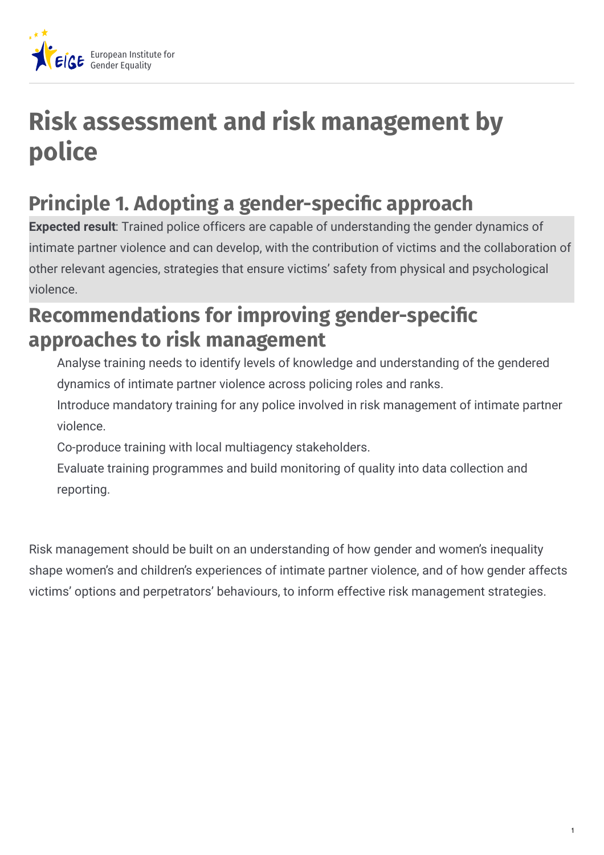

## **Risk assessment and risk management by police**

## **Principle 1. Adopting a gender-specific approach**

**Expected result**: Trained police officers are capable of understanding the gender dynamics of intimate partner violence and can develop, with the contribution of victims and the collaboration of other relevant agencies, strategies that ensure victims' safety from physical and psychological violence.

## **Recommendations for improving gender-specific approaches to risk management**

Analyse training needs to identify levels of knowledge and understanding of the gendered dynamics of intimate partner violence across policing roles and ranks.

Introduce mandatory training for any police involved in risk management of intimate partner violence.

Co-produce training with local multiagency stakeholders.

Evaluate training programmes and build monitoring of quality into data collection and reporting.

Risk management should be built on an understanding of how gender and women's inequality shape women's and children's experiences of intimate partner violence, and of how gender affects victims' options and perpetrators' behaviours, to inform effective risk management strategies.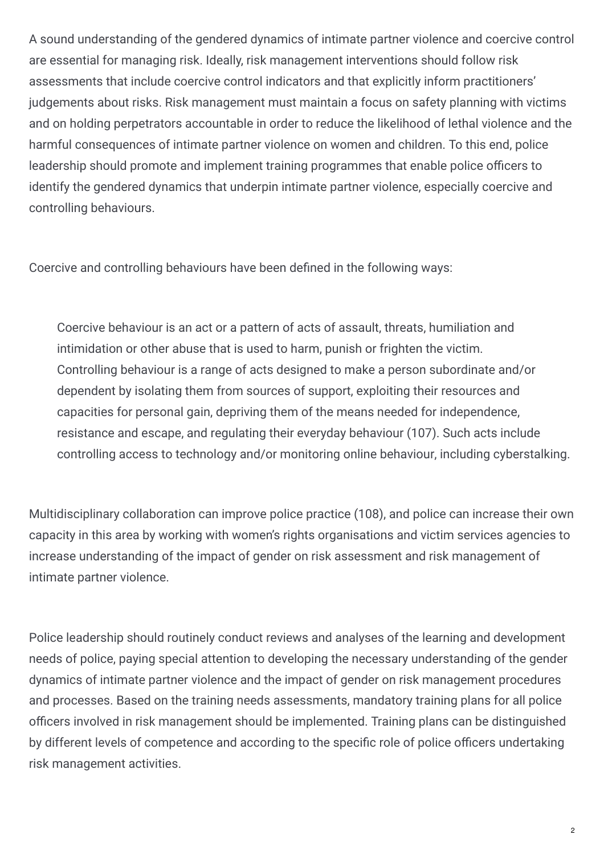A sound understanding of the gendered dynamics of intimate partner violence and coercive control are essential for managing risk. Ideally, risk management interventions should follow risk assessments that include coercive control indicators and that explicitly inform practitioners' judgements about risks. Risk management must maintain a focus on safety planning with victims and on holding perpetrators accountable in order to reduce the likelihood of lethal violence and the harmful consequences of intimate partner violence on women and children. To this end, police leadership should promote and implement training programmes that enable police officers to identify the gendered dynamics that underpin intimate partner violence, especially coercive and controlling behaviours.

Coercive and controlling behaviours have been defined in the following ways:

Coercive behaviour is an act or a pattern of acts of assault, threats, humiliation and intimidation or other abuse that is used to harm, punish or frighten the victim. Controlling behaviour is a range of acts designed to make a person subordinate and/or dependent by isolating them from sources of support, exploiting their resources and capacities for personal gain, depriving them of the means needed for independence, resistance and escape, and regulating their everyday behaviour (107). Such acts include controlling access to technology and/or monitoring online behaviour, including cyberstalking.

Multidisciplinary collaboration can improve police practice (108), and police can increase their own capacity in this area by working with women's rights organisations and victim services agencies to increase understanding of the impact of gender on risk assessment and risk management of intimate partner violence.

Police leadership should routinely conduct reviews and analyses of the learning and development needs of police, paying special attention to developing the necessary understanding of the gender dynamics of intimate partner violence and the impact of gender on risk management procedures and processes. Based on the training needs assessments, mandatory training plans for all police officers involved in risk management should be implemented. Training plans can be distinguished by different levels of competence and according to the specific role of police officers undertaking risk management activities.